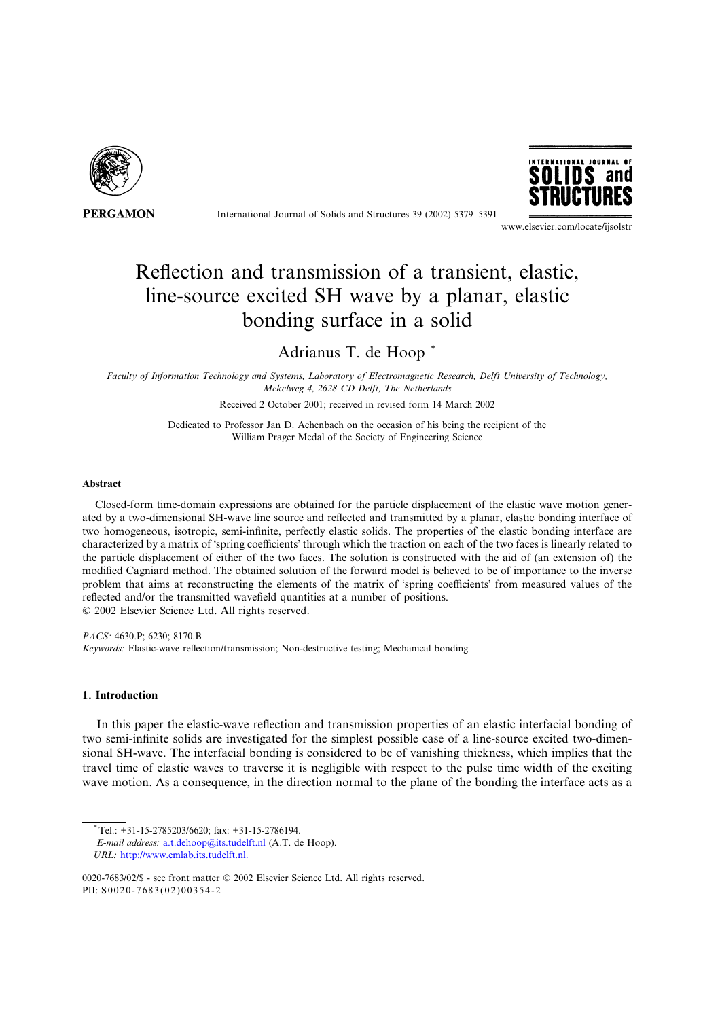

International Journal of Solids and Structures 39 (2002) 5379–5391



www.elsevier.com/locate/ijsolstr

# Reflection and transmission of a transient, elastic, line-source excited SH wave by a planar, elastic bonding surface in a solid

Adrianus T. de Hoop \*

Faculty of Information Technology and Systems, Laboratory of Electromagnetic Research, Delft University of Technology, Mekelweg 4, 2628 CD Delft, The Netherlands

Received 2 October 2001; received in revised form 14 March 2002

Dedicated to Professor Jan D. Achenbach on the occasion of his being the recipient of the William Prager Medal of the Society of Engineering Science

## Abstract

Closed-form time-domain expressions are obtained for the particle displacement of the elastic wave motion generated by a two-dimensional SH-wave line source and reflected and transmitted by a planar, elastic bonding interface of two homogeneous, isotropic, semi-infinite, perfectly elastic solids. The properties of the elastic bonding interface are characterized by a matrix of 'spring coefficients' through which the traction on each of the two faces is linearly related to the particle displacement of either of the two faces. The solution is constructed with the aid of (an extension of) the modified Cagniard method. The obtained solution of the forward model is believed to be of importance to the inverse problem that aims at reconstructing the elements of the matrix of 'spring coefficients' from measured values of the reflected and/or the transmitted wavefield quantities at a number of positions.

 $© 2002 Elsevier Science Ltd. All rights reserved.$ 

PACS: 4630.P; 6230; 8170.B Keywords: Elastic-wave reflection/transmission; Non-destructive testing; Mechanical bonding

## 1. Introduction

In this paper the elastic-wave reflection and transmission properties of an elastic interfacial bonding of two semi-infinite solids are investigated for the simplest possible case of a line-source excited two-dimensional SH-wave. The interfacial bonding is considered to be of vanishing thickness, which implies that the travel time of elastic waves to traverse it is negligible with respect to the pulse time width of the exciting wave motion. As a consequence, in the direction normal to the plane of the bonding the interface acts as a

 $^*$ Tel.: +31-15-2785203/6620: fax: +31-15-2786194.

E-mail address: a.t.dehoop@its.tudelft.nl (A.T. de Hoop).

URL: http://www.emlab.its.tudelft.nl.

<sup>0020-7683/02/\$ -</sup> see front matter © 2002 Elsevier Science Ltd. All rights reserved. PII: S0020-7683(02)00354-2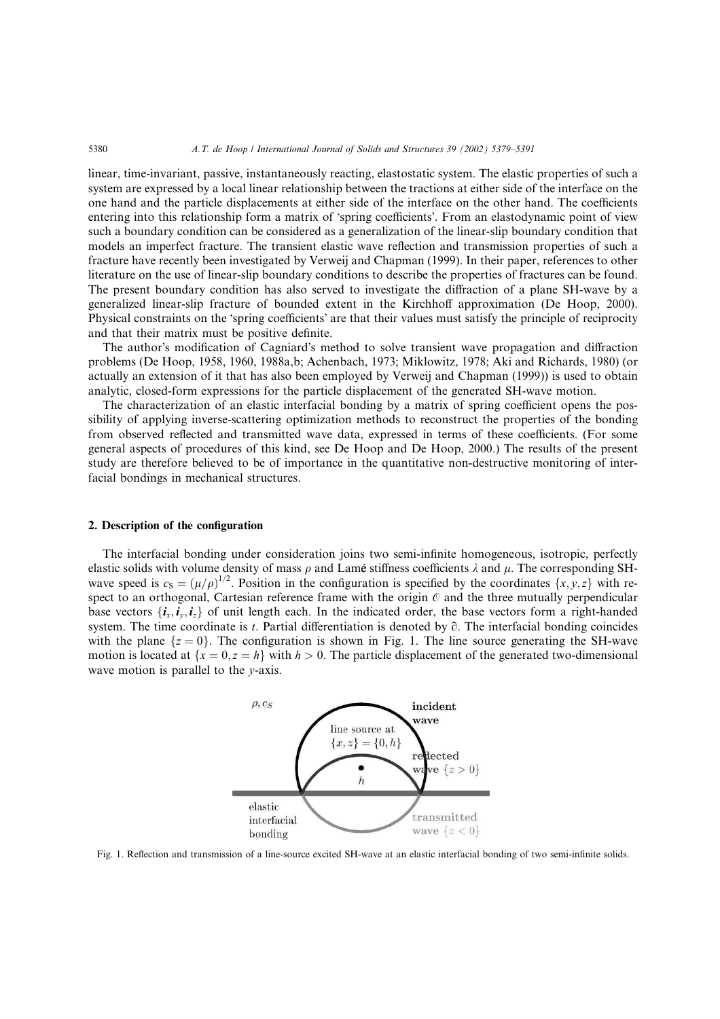#### 5380 A.T. de Hoop / International Journal of Solids and Structures 39 (2002) 5379–5391

linear, time-invariant, passive, instantaneously reacting, elastostatic system. The elastic properties of such a system are expressed by a local linear relationship between the tractions at either side of the interface on the one hand and the particle displacements at either side of the interface on the other hand. The coefficients entering into this relationship form a matrix of 'spring coefficients'. From an elastodynamic point of view such a boundary condition can be considered as a generalization of the linear-slip boundary condition that models an imperfect fracture. The transient elastic wave reflection and transmission properties of such a fracture have recently been investigated by Verweij and Chapman (1999). In their paper, references to other literature on the use of linear-slip boundary conditions to describe the properties of fractures can be found. The present boundary condition has also served to investigate the diffraction of a plane SH-wave by a generalized linear-slip fracture of bounded extent in the Kirchhoff approximation (De Hoop, 2000). Physical constraints on the 'spring coefficients' are that their values must satisfy the principle of reciprocity and that their matrix must be positive definite.

The author's modification of Cagniard's method to solve transient wave propagation and diffraction problems (De Hoop, 1958, 1960, 1988a,b; Achenbach, 1973; Miklowitz, 1978; Aki and Richards, 1980) (or actually an extension of it that has also been employed by Verweij and Chapman (1999)) is used to obtain analytic, closed-form expressions for the particle displacement of the generated SH-wave motion.

The characterization of an elastic interfacial bonding by a matrix of spring coefficient opens the possibility of applying inverse-scattering optimization methods to reconstruct the properties of the bonding from observed reflected and transmitted wave data, expressed in terms of these coefficients. (For some general aspects of procedures of this kind, see De Hoop and De Hoop, 2000.) The results of the present study are therefore believed to be of importance in the quantitative non-destructive monitoring of interfacial bondings in mechanical structures.

#### 2. Description of the configuration

The interfacial bonding under consideration joins two semi-infinite homogeneous, isotropic, perfectly elastic solids with volume density of mass  $\rho$  and Lamé stiffness coefficients  $\lambda$  and  $\mu$ . The corresponding SHwave speed is  $c_S = (\mu/\rho)^{1/2}$ . Position in the configuration is specified by the coordinates  $\{x, y, z\}$  with respect to an orthogonal, Cartesian reference frame with the origin  $\varnothing$  and the three mutually perpendicular base vectors  $\{i_x, i_y, i_z\}$  of unit length each. In the indicated order, the base vectors form a right-handed system. The time coordinate is t. Partial differentiation is denoted by  $\partial$ . The interfacial bonding coincides with the plane  $\{z = 0\}$ . The configuration is shown in Fig. 1. The line source generating the SH-wave motion is located at  $\{x = 0, z = h\}$  with  $h > 0$ . The particle displacement of the generated two-dimensional wave motion is parallel to the *y*-axis.



Fig. 1. Reflection and transmission of a line-source excited SH-wave at an elastic interfacial bonding of two semi-infinite solids.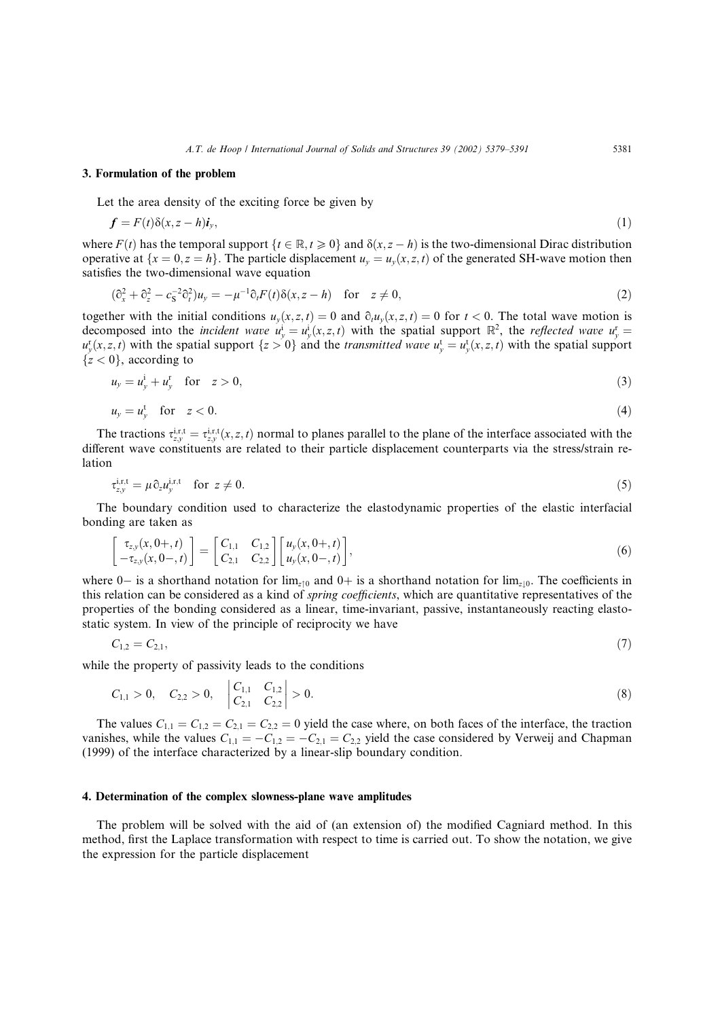#### 3. Formulation of the problem

Let the area density of the exciting force be given by

$$
f = F(t)\delta(x, z - h)i_y,\tag{1}
$$

where  $F(t)$  has the temporal support  $\{t \in \mathbb{R}, t \geq 0\}$  and  $\delta(x, z - h)$  is the two-dimensional Dirac distribution operative at  $\{x = 0, z = h\}$ . The particle displacement  $u_y = u_y(x, z, t)$  of the generated SH-wave motion then satisfies the two-dimensional wave equation

$$
(\partial_x^2 + \partial_z^2 - c_S^{-2} \partial_t^2) u_y = -\mu^{-1} \partial_t F(t) \delta(x, z - h) \quad \text{for} \quad z \neq 0,
$$
 (2)

together with the initial conditions  $u_y(x, z, t) = 0$  and  $\partial_t u_y(x, z, t) = 0$  for  $t < 0$ . The total wave motion is decomposed into the *incident wave*  $u_y^i = u_y^i(x, z, t)$  with the spatial support  $\mathbb{R}^2$ , the *reflected wave*  $u_y^i =$  $u_y^r(x, z, t)$  with the spatial support  $\{z > 0\}$  and the transmitted wave  $u_y^t = u_y^t(x, z, t)$  with the spatial support  ${z < 0}$ , according to

$$
u_y = u_y^i + u_y^r \quad \text{for} \quad z > 0,\tag{3}
$$

$$
u_y = u_y^t \quad \text{for} \quad z < 0. \tag{4}
$$

The tractions  $\tau_{zy}^{i,r,t} = \tau_{zy}^{i,r,t}(x,z,t)$  normal to planes parallel to the plane of the interface associated with the different wave constituents are related to their particle displacement counterparts via the stress/strain relation

$$
\tau_{zy}^{\mathrm{i,r,t}} = \mu \partial_z u_y^{\mathrm{i,r,t}} \quad \text{for } z \neq 0. \tag{5}
$$

The boundary condition used to characterize the elastodynamic properties of the elastic interfacial bonding are taken as

$$
\begin{bmatrix} \tau_{z,y}(x,0+,t) \\ -\tau_{z,y}(x,0-,t) \end{bmatrix} = \begin{bmatrix} C_{1,1} & C_{1,2} \\ C_{2,1} & C_{2,2} \end{bmatrix} \begin{bmatrix} u_y(x,0+,t) \\ u_y(x,0-,t) \end{bmatrix},
$$
\n(6)

where 0– is a shorthand notation for  $\lim_{z\downarrow 0}$  and 0+ is a shorthand notation for  $\lim_{z\downarrow 0}$ . The coefficients in this relation can be considered as a kind of spring coefficients, which are quantitative representatives of the properties of the bonding considered as a linear, time-invariant, passive, instantaneously reacting elastostatic system. In view of the principle of reciprocity we have

$$
C_{1,2} = C_{2,1},\tag{7}
$$

while the property of passivity leads to the conditions

$$
C_{1,1} > 0, \quad C_{2,2} > 0, \quad \begin{vmatrix} C_{1,1} & C_{1,2} \\ C_{2,1} & C_{2,2} \end{vmatrix} > 0.
$$
 (8)

The values  $C_{1,1} = C_{1,2} = C_{2,1} = C_{2,2} = 0$  yield the case where, on both faces of the interface, the traction vanishes, while the values  $C_{1,1} = -C_{1,2} = -C_{2,1} = C_{2,2}$  yield the case considered by Verweij and Chapman (1999) of the interface characterized by a linear-slip boundary condition.

## 4. Determination of the complex slowness-plane wave amplitudes

The problem will be solved with the aid of (an extension of) the modified Cagniard method. In this method, first the Laplace transformation with respect to time is carried out. To show the notation, we give the expression for the particle displacement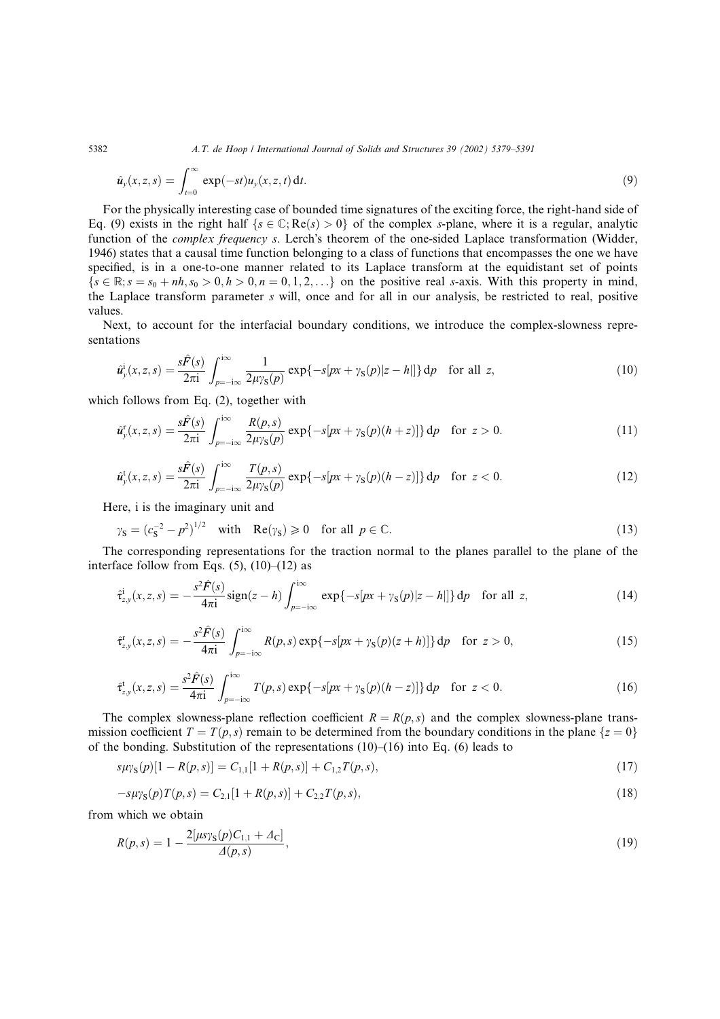5382 A.T. de Hoop / International Journal of Solids and Structures 39 (2002) 5379–5391

$$
\hat{u}_y(x,z,s) = \int_{t=0}^{\infty} \exp(-st) u_y(x,z,t) dt.
$$
\n(9)

For the physically interesting case of bounded time signatures of the exciting force, the right-hand side of Eq. (9) exists in the right half  $\{s \in \mathbb{C} : \text{Re}(s) > 0\}$  of the complex s-plane, where it is a regular, analytic function of the *complex frequency s*. Lerch's theorem of the one-sided Laplace transformation (Widder, 1946) states that a causal time function belonging to a class of functions that encompasses the one we have specified, is in a one-to-one manner related to its Laplace transform at the equidistant set of points  $\{s \in \mathbb{R}; s = s_0 + nh, s_0 > 0, h > 0, n = 0, 1, 2, \ldots\}$  on the positive real s-axis. With this property in mind, the Laplace transform parameter s will, once and for all in our analysis, be restricted to real, positive values.

Next, to account for the interfacial boundary conditions, we introduce the complex-slowness representations

$$
\hat{u}_y^i(x,z,s) = \frac{s\hat{F}(s)}{2\pi i} \int_{p=-i\infty}^{i\infty} \frac{1}{2\mu y_s(p)} \exp\{-s[px+y_s(p)|z-h|]\} dp \quad \text{for all } z,
$$
\n(10)

which follows from Eq. (2), together with

$$
\hat{u}_{y}^{r}(x,z,s) = \frac{s\hat{F}(s)}{2\pi i} \int_{p=-i\infty}^{i\infty} \frac{R(p,s)}{2\mu\gamma_{S}(p)} \exp\{-s[px+\gamma_{S}(p)(h+z)]\} dp \quad \text{for } z > 0.
$$
 (11)

$$
\hat{u}_{y}^{t}(x,z,s) = \frac{s\hat{F}(s)}{2\pi i} \int_{p=-i\infty}^{i\infty} \frac{T(p,s)}{2\mu y_{S}(p)} \exp\{-s[px + \gamma_{S}(p)(h-z)]\} dp \quad \text{for } z < 0.
$$
 (12)

Here, i is the imaginary unit and

$$
\gamma_{\mathbf{S}} = (c_{\mathbf{S}}^{-2} - p^2)^{1/2} \quad \text{with} \quad \text{Re}(\gamma_{\mathbf{S}}) \geq 0 \quad \text{for all } p \in \mathbb{C}.\tag{13}
$$

The corresponding representations for the traction normal to the planes parallel to the plane of the interface follow from Eqs.  $(5)$ ,  $(10)$ – $(12)$  as

$$
\hat{\tau}_{z,y}^{i}(x,z,s) = -\frac{s^{2}\hat{F}(s)}{4\pi i}\text{sign}(z-h)\int_{p=-i\infty}^{i\infty} \exp\{-s[px+\gamma_{S}(p)|z-h|]\} dp \quad \text{for all } z,
$$
\n(14)

$$
\hat{\tau}_{z,y}^r(x,z,s) = -\frac{s^2 \hat{F}(s)}{4\pi i} \int_{p=-\infty}^{\infty} R(p,s) \exp\{-s[px + \gamma_S(p)(z+h)]\} dp \quad \text{for } z > 0,
$$
\n(15)

$$
\hat{\tau}_{z,y}^{\mathrm{t}}(x,z,s) = \frac{s^2 \hat{F}(s)}{4\pi i} \int_{p=-i\infty}^{i\infty} T(p,s) \exp\{-s[px + \gamma_{\mathrm{S}}(p)(h-z)]\} \, \mathrm{d}p \quad \text{for } z < 0. \tag{16}
$$

The complex slowness-plane reflection coefficient  $R = R(p, s)$  and the complex slowness-plane transmission coefficient  $T = T(p, s)$  remain to be determined from the boundary conditions in the plane  $\{z = 0\}$ of the bonding. Substitution of the representations (10)–(16) into Eq. (6) leads to

$$
s\mu\gamma_{\rm S}(p)[1 - R(p,s)] = C_{1,1}[1 + R(p,s)] + C_{1,2}T(p,s),\tag{17}
$$

$$
-s\mu\gamma_{\rm S}(p)T(p,s) = C_{2,1}[1 + R(p,s)] + C_{2,2}T(p,s),\tag{18}
$$

from which we obtain

$$
R(p,s) = 1 - \frac{2[\mu s \gamma_{\rm S}(p)C_{1,1} + \Delta_{\rm C}]}{\Delta(p,s)},
$$
\n(19)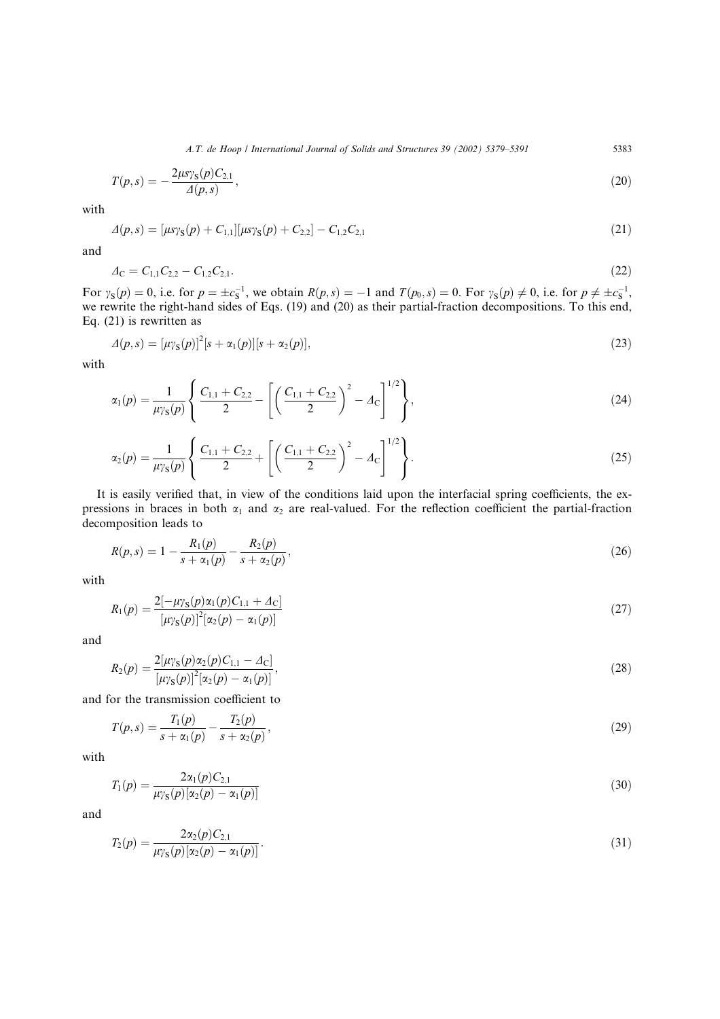A.T. de Hoop / International Journal of Solids and Structures 39 (2002) 5379–5391 5383

$$
T(p,s) = -\frac{2\mu s \gamma_{\rm S}(p) C_{2,1}}{\Delta(p,s)},\tag{20}
$$

with

$$
\Delta(p,s) = [\mu s \gamma_{\rm S}(p) + C_{1,1}][\mu s \gamma_{\rm S}(p) + C_{2,2}] - C_{1,2} C_{2,1} \tag{21}
$$

and

$$
\Delta_{\rm C} = C_{1,1} C_{2,2} - C_{1,2} C_{2,1}.\tag{22}
$$

For  $\gamma_S(p) = 0$ , i.e. for  $p = \pm c_S^{-1}$ , we obtain  $R(p, s) = -1$  and  $T(p_0, s) = 0$ . For  $\gamma_S(p) \neq 0$ , i.e. for  $p \neq \pm c_S^{-1}$ , we rewrite the right-hand sides of Eqs. (19) and (20) as their partial-fraction decompositions. To this end, Eq. (21) is rewritten as

$$
\Delta(p,s) = [\mu \gamma_{\rm S}(p)]^2 [s + \alpha_1(p)][s + \alpha_2(p)], \qquad (23)
$$

with

$$
\alpha_1(p) = \frac{1}{\mu \gamma_S(p)} \left\{ \frac{C_{1,1} + C_{2,2}}{2} - \left[ \left( \frac{C_{1,1} + C_{2,2}}{2} \right)^2 - A_C \right]^{1/2} \right\},\tag{24}
$$

$$
\alpha_2(p) = \frac{1}{\mu \gamma_S(p)} \left\{ \frac{C_{1,1} + C_{2,2}}{2} + \left[ \left( \frac{C_{1,1} + C_{2,2}}{2} \right)^2 - A_C \right]^{1/2} \right\}.
$$
\n(25)

It is easily verified that, in view of the conditions laid upon the interfacial spring coefficients, the expressions in braces in both  $\alpha_1$  and  $\alpha_2$  are real-valued. For the reflection coefficient the partial-fraction decomposition leads to

$$
R(p,s) = 1 - \frac{R_1(p)}{s + \alpha_1(p)} - \frac{R_2(p)}{s + \alpha_2(p)},
$$
\n(26)

with

$$
R_1(p) = \frac{2[-\mu \gamma_S(p)\alpha_1(p)C_{1,1} + \Delta_C]}{[\mu \gamma_S(p)]^2[\alpha_2(p) - \alpha_1(p)]}
$$
\n(27)

and

$$
R_2(p) = \frac{2[\mu \gamma_S(p)\alpha_2(p)C_{1,1} - \Delta_C]}{[\mu \gamma_S(p)]^2 [\alpha_2(p) - \alpha_1(p)]},
$$
\n(28)

and for the transmission coefficient to

$$
T(p,s) = \frac{T_1(p)}{s + \alpha_1(p)} - \frac{T_2(p)}{s + \alpha_2(p)},
$$
\n(29)

with

$$
T_1(p) = \frac{2\alpha_1(p)C_{2,1}}{\mu_{\gamma S}(p)[\alpha_2(p) - \alpha_1(p)]}
$$
\n(30)

and

$$
T_2(p) = \frac{2\alpha_2(p)C_{2,1}}{\mu_{\gamma S}(p)[\alpha_2(p) - \alpha_1(p)]}.
$$
\n(31)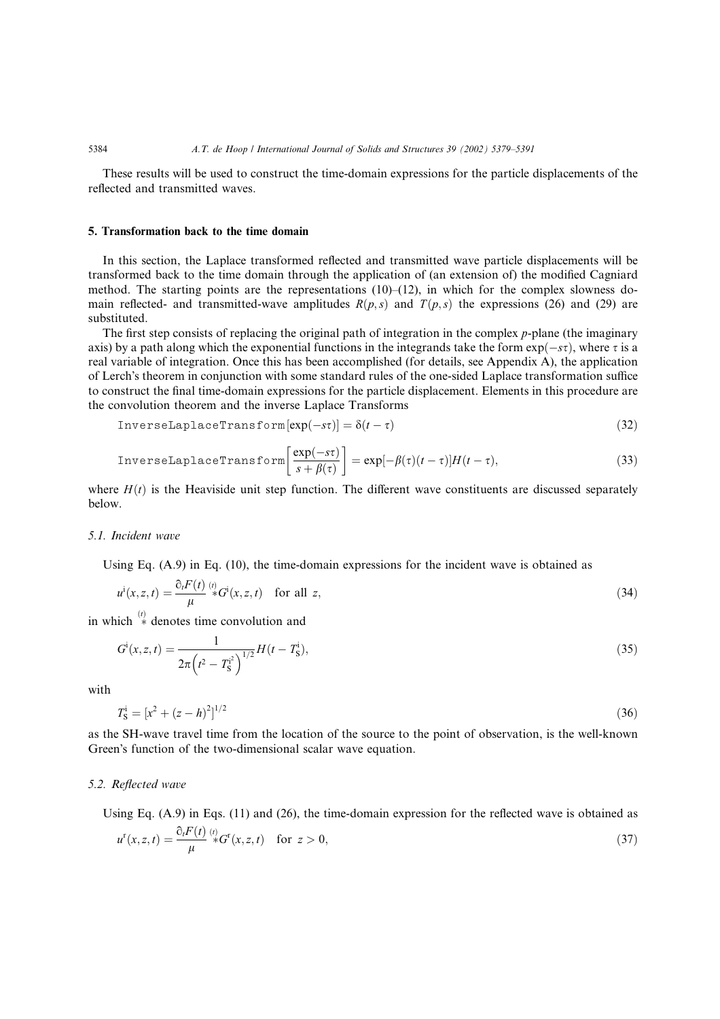These results will be used to construct the time-domain expressions for the particle displacements of the reflected and transmitted waves.

## 5. Transformation back to the time domain

In this section, the Laplace transformed reflected and transmitted wave particle displacements will be transformed back to the time domain through the application of (an extension of) the modified Cagniard method. The starting points are the representations  $(10)$ – $(12)$ , in which for the complex slowness domain reflected- and transmitted-wave amplitudes  $R(p, s)$  and  $T(p, s)$  the expressions (26) and (29) are substituted.

The first step consists of replacing the original path of integration in the complex p-plane (the imaginary axis) by a path along which the exponential functions in the integrands take the form  $exp(-s\tau)$ , where  $\tau$  is a real variable of integration. Once this has been accomplished (for details, see Appendix A), the application of Lerch's theorem in conjunction with some standard rules of the one-sided Laplace transformation suffice to construct the final time-domain expressions for the particle displacement. Elements in this procedure are the convolution theorem and the inverse Laplace Transforms

$$
InverseLaplaceTransform[exp(-s\tau)] = \delta(t-\tau)
$$
\n(32)

$$
\text{InverseLaplaceTransform}\left[\frac{\exp(-s\tau)}{s+\beta(\tau)}\right] = \exp[-\beta(\tau)(t-\tau)]H(t-\tau),\tag{33}
$$

where  $H(t)$  is the Heaviside unit step function. The different wave constituents are discussed separately below.

## 5.1. Incident wave

Using Eq. (A.9) in Eq. (10), the time-domain expressions for the incident wave is obtained as

$$
u^i(x, z, t) = \frac{\partial_i F(t)}{\mu} \, ^{\langle i \rangle} \! \mathcal{G}^i(x, z, t) \quad \text{for all } z,
$$
\n
$$
(34)
$$

in which  $\overset{(i)}{\ast}$  denotes time convolution and

$$
G^i(x, z, t) = \frac{1}{2\pi \left(t^2 - T_S^{i^2}\right)^{1/2}} H(t - T_S^i),\tag{35}
$$

with

$$
T_{\rm S}^{\rm i} = [x^2 + (z - h)^2]^{1/2} \tag{36}
$$

as the SH-wave travel time from the location of the source to the point of observation, is the well-known Green's function of the two-dimensional scalar wave equation.

#### 5.2. Reflected wave

Using Eq. (A.9) in Eqs. (11) and (26), the time-domain expression for the reflected wave is obtained as

$$
u^{r}(x, z, t) = \frac{\partial_{t} F(t)}{\mu} \, ^{(t)}\ast G^{r}(x, z, t) \quad \text{for } z > 0,
$$
\n(37)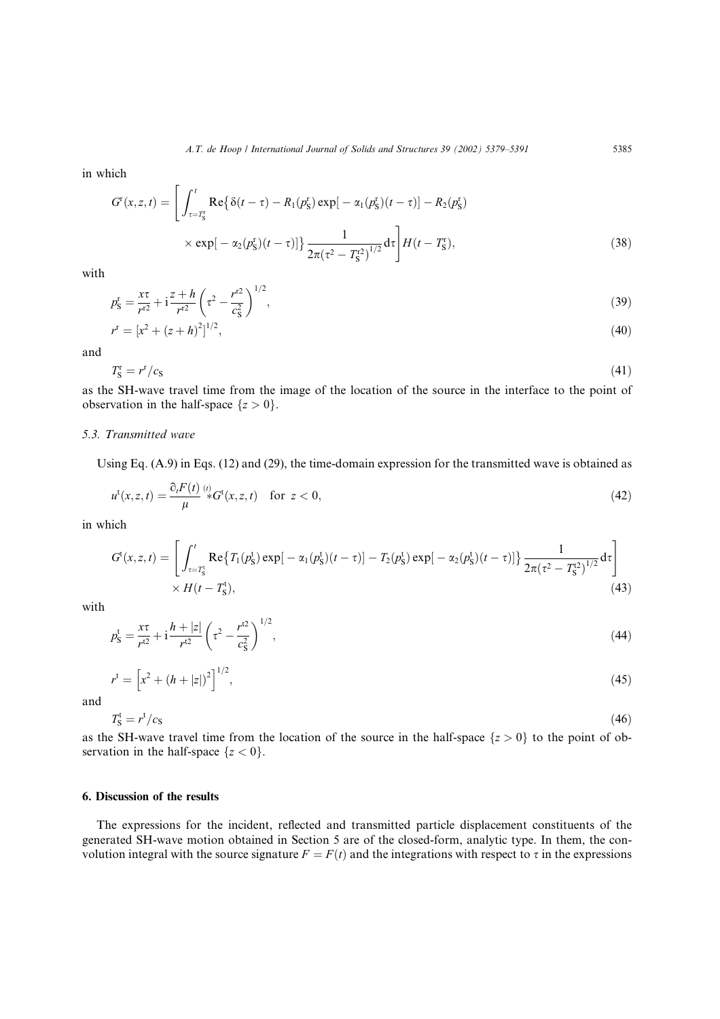in which

$$
G^{r}(x, z, t) = \left[ \int_{\tau = T_{S}^{r}}^{t} \text{Re}\{\delta(t - \tau) - R_{1}(p_{S}^{r}) \exp[-\alpha_{1}(p_{S}^{r})(t - \tau)] - R_{2}(p_{S}^{r})\n\n\times \exp[-\alpha_{2}(p_{S}^{r})(t - \tau)]\} \frac{1}{2\pi(\tau^{2} - T_{S}^{r})^{1/2}} d\tau \right] H(t - T_{S}^{r}),
$$
\n(38)

with

$$
p_{\rm S}^{\rm r} = \frac{x\tau}{r^{\rm r2}} + i\frac{z+h}{r^{\rm r2}} \left(\tau^2 - \frac{r^{\rm r2}}{c_{\rm S}^2}\right)^{1/2},\tag{39}
$$

$$
r^{\mathbf{r}} = [x^2 + (z + h)^2]^{1/2},\tag{40}
$$

and

$$
T_{\rm S}^{\rm r} = r^{\rm r}/c_{\rm S} \tag{41}
$$

as the SH-wave travel time from the image of the location of the source in the interface to the point of observation in the half-space  $\{z > 0\}$ .

## 5.3. Transmitted wave

Using Eq. (A.9) in Eqs. (12) and (29), the time-domain expression for the transmitted wave is obtained as

$$
u^{\mathsf{t}}(x,z,t) = \frac{\partial_t F(t)}{\mu} \, \stackrel{\scriptscriptstyle(i)}{\ast} \, G^{\mathsf{t}}(x,z,t) \quad \text{for } z < 0,\tag{42}
$$

in which

$$
G^{t}(x, z, t) = \left[ \int_{\tau = T_{S}^{t}}^{t} \text{Re}\left\{T_{1}(p_{S}^{t}) \exp[-\alpha_{1}(p_{S}^{t})(t-\tau)] - T_{2}(p_{S}^{t}) \exp[-\alpha_{2}(p_{S}^{t})(t-\tau)]\right\} \frac{1}{2\pi(\tau^{2} - T_{S}^{t2})^{1/2}} d\tau \right] \times H(t - T_{S}^{t}),
$$
\n(43)

with

$$
p_{\rm S}^{\rm t} = \frac{x\tau}{r^{12}} + i\frac{h+|z|}{r^{12}}\left(\tau^2 - \frac{r^{12}}{c_{\rm S}^2}\right)^{1/2},\tag{44}
$$

$$
r^{\mathfrak{t}} = \left[x^2 + (h + |z|)^2\right]^{1/2},\tag{45}
$$

and

$$
T_{\rm S}^{\rm t} = r^{\rm t}/c_{\rm S} \tag{46}
$$

as the SH-wave travel time from the location of the source in the half-space  $\{z > 0\}$  to the point of observation in the half-space  ${z < 0}$ .

## 6. Discussion of the results

The expressions for the incident, reflected and transmitted particle displacement constituents of the generated SH-wave motion obtained in Section 5 are of the closed-form, analytic type. In them, the convolution integral with the source signature  $F = F(t)$  and the integrations with respect to  $\tau$  in the expressions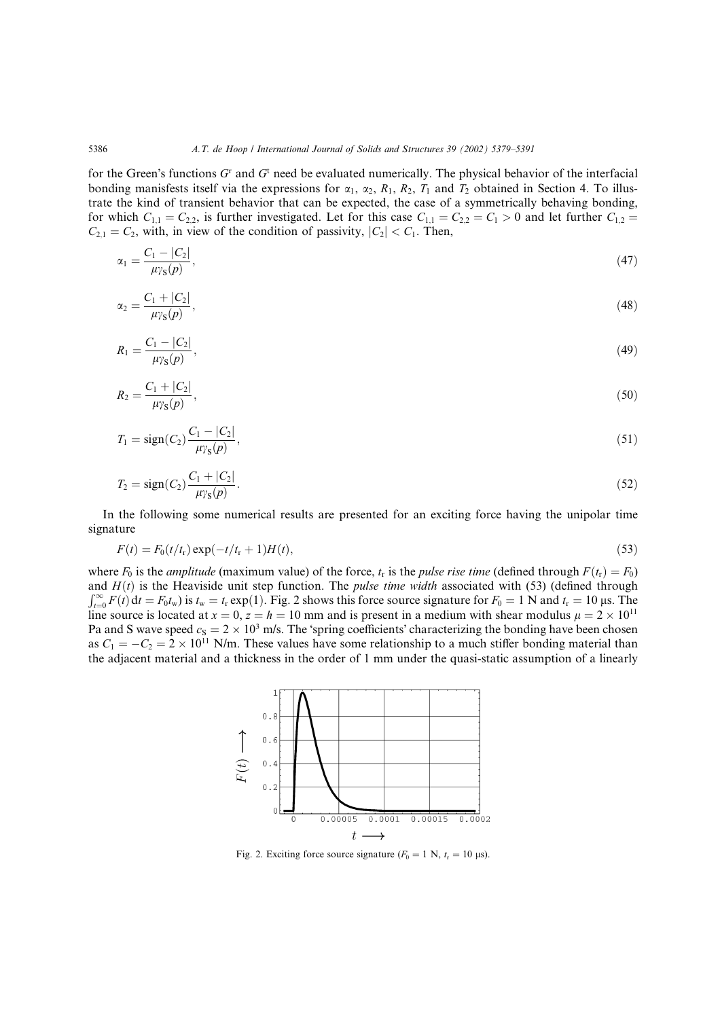for the Green's functions  $G<sup>r</sup>$  and  $G<sup>t</sup>$  need be evaluated numerically. The physical behavior of the interfacial bonding manisfests itself via the expressions for  $\alpha_1$ ,  $\alpha_2$ ,  $R_1$ ,  $R_2$ ,  $T_1$  and  $T_2$  obtained in Section 4. To illustrate the kind of transient behavior that can be expected, the case of a symmetrically behaving bonding, for which  $C_{1,1} = C_{2,2}$ , is further investigated. Let for this case  $C_{1,1} = C_{2,2} = C_1 > 0$  and let further  $C_{1,2} = C_2$  $C_{2,1} = C_2$ , with, in view of the condition of passivity,  $|C_2| < C_1$ . Then,

$$
\alpha_1 = \frac{C_1 - |C_2|}{\mu_{\gamma S}(p)},\tag{47}
$$

$$
\alpha_2 = \frac{C_1 + |C_2|}{\mu_{\gamma S}(p)},\tag{48}
$$

$$
R_1 = \frac{C_1 - |C_2|}{\mu_{\gamma S}(p)},\tag{49}
$$

$$
R_2 = \frac{C_1 + |C_2|}{\mu_{\gamma S}(p)},\tag{50}
$$

$$
T_1 = sign(C_2) \frac{C_1 - |C_2|}{\mu_{\gamma s}(p)},\tag{51}
$$

$$
T_2 = \text{sign}(C_2) \frac{C_1 + |C_2|}{\mu_{\gamma_S}(p)}.
$$
\n(52)

In the following some numerical results are presented for an exciting force having the unipolar time signature

$$
F(t) = F_0(t/t_r) \exp(-t/t_r + 1)H(t),
$$
\n(53)

where  $F_0$  is the *amplitude* (maximum value) of the force,  $t_r$  is the *pulse rise time* (defined through  $F(t_r) = F_0$ ) and  $H(t)$  is the Heaviside unit step function. The *pulse time width* associated with (53) (defined through  $\int_{t=0}^{\infty} F(t) dt = F_0 t_w$ ) is  $t_w = t_r \exp(1)$ . Fig. 2 shows this force source signature for  $F_0 = 1$  N and  $t_r = 10$  µs. The line source is located at  $x = 0$ ,  $z = h = 10$  mm and is present in a medium with shear modulus  $\mu = 2 \times 10^{11}$ Pa and S wave speed  $c_S = 2 \times 10^3$  m/s. The 'spring coefficients' characterizing the bonding have been chosen as  $C_1 = -C_2 = 2 \times 10^{11}$  N/m. These values have some relationship to a much stiffer bonding material than the adjacent material and a thickness in the order of 1 mm under the quasi-static assumption of a linearly



Fig. 2. Exciting force source signature  $(F_0 = 1 \text{ N}, t_r = 10 \text{ }\mu\text{s})$ .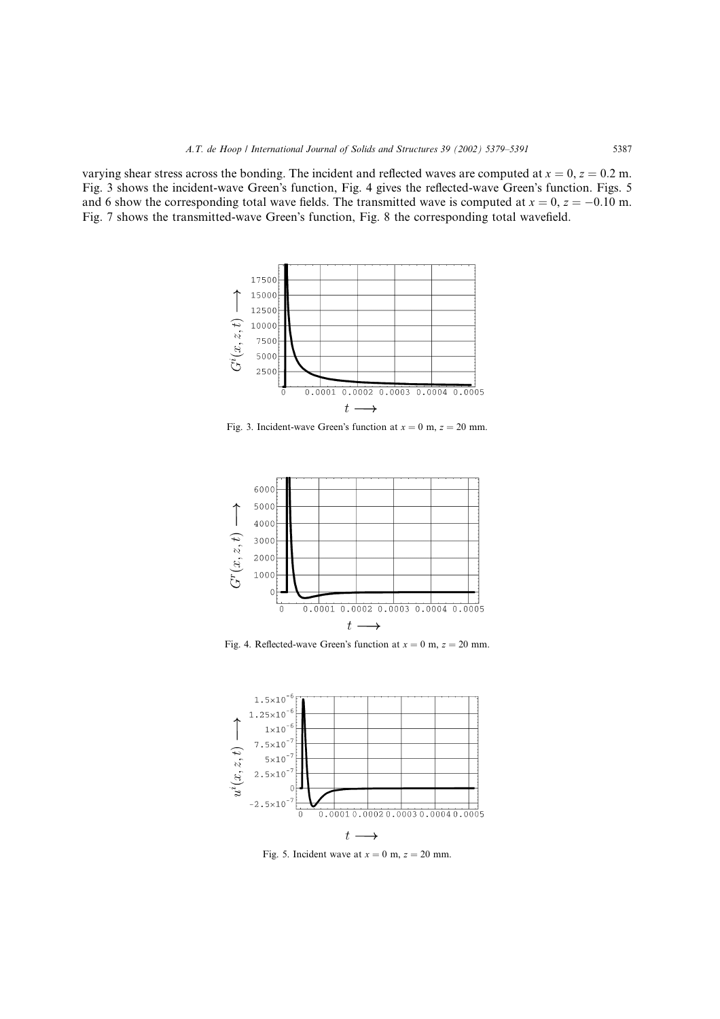varying shear stress across the bonding. The incident and reflected waves are computed at  $x = 0$ ,  $z = 0.2$  m. Fig. 3 shows the incident-wave Green's function, Fig. 4 gives the reflected-wave Green's function. Figs. 5 and 6 show the corresponding total wave fields. The transmitted wave is computed at  $x = 0$ ,  $z = -0.10$  m. Fig. 7 shows the transmitted-wave Green's function, Fig. 8 the corresponding total wavefield.



Fig. 3. Incident-wave Green's function at  $x = 0$  m,  $z = 20$  mm.



Fig. 4. Reflected-wave Green's function at  $x = 0$  m,  $z = 20$  mm.



Fig. 5. Incident wave at  $x = 0$  m,  $z = 20$  mm.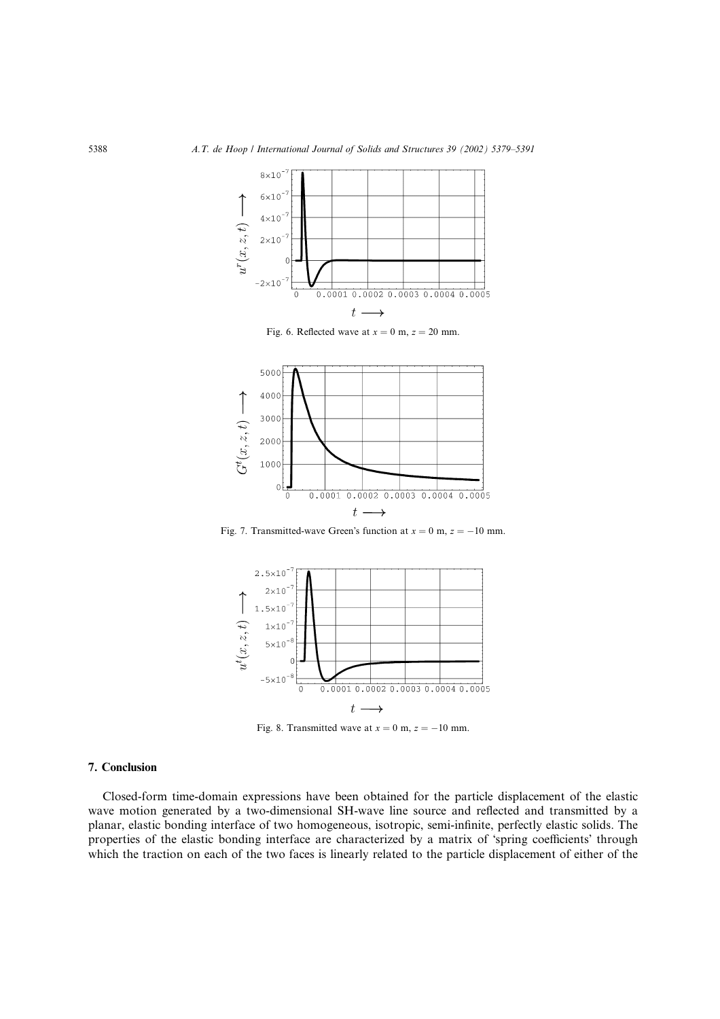

Fig. 6. Reflected wave at  $x = 0$  m,  $z = 20$  mm.



Fig. 7. Transmitted-wave Green's function at  $x = 0$  m,  $z = -10$  mm.



Fig. 8. Transmitted wave at  $x = 0$  m,  $z = -10$  mm.

## 7. Conclusion

Closed-form time-domain expressions have been obtained for the particle displacement of the elastic wave motion generated by a two-dimensional SH-wave line source and reflected and transmitted by a planar, elastic bonding interface of two homogeneous, isotropic, semi-infinite, perfectly elastic solids. The properties of the elastic bonding interface are characterized by a matrix of 'spring coefficients' through which the traction on each of the two faces is linearly related to the particle displacement of either of the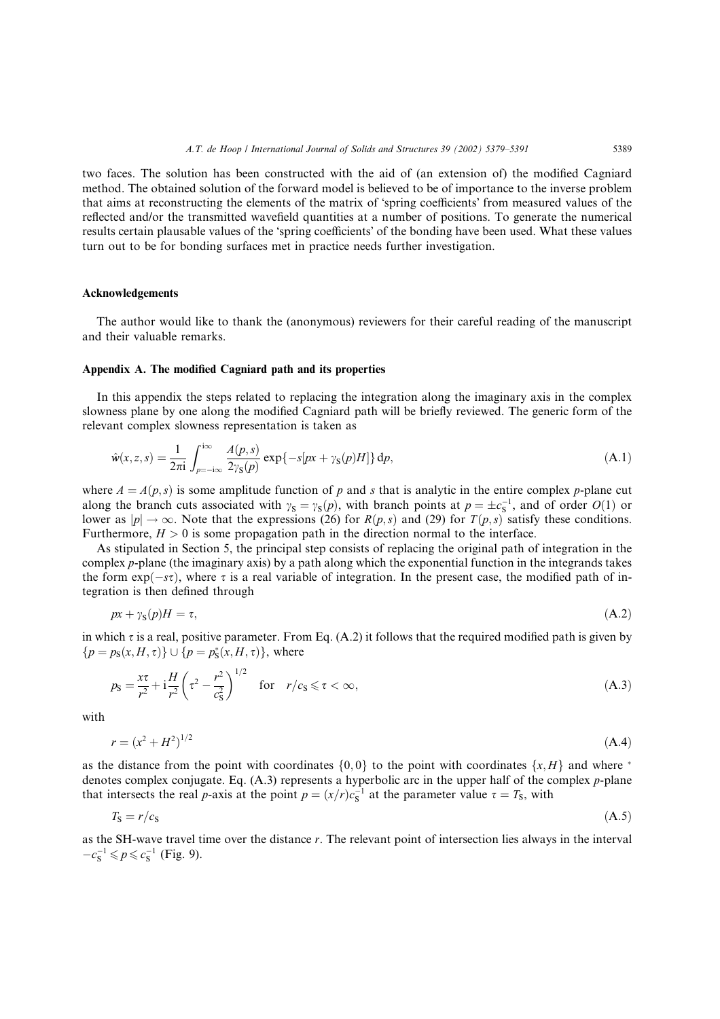two faces. The solution has been constructed with the aid of (an extension of) the modified Cagniard method. The obtained solution of the forward model is believed to be of importance to the inverse problem that aims at reconstructing the elements of the matrix of 'spring coefficients' from measured values of the reflected and/or the transmitted wavefield quantities at a number of positions. To generate the numerical results certain plausable values of the 'spring coefficients' of the bonding have been used. What these values turn out to be for bonding surfaces met in practice needs further investigation.

## Acknowledgements

The author would like to thank the (anonymous) reviewers for their careful reading of the manuscript and their valuable remarks.

## Appendix A. The modified Cagniard path and its properties

In this appendix the steps related to replacing the integration along the imaginary axis in the complex slowness plane by one along the modified Cagniard path will be briefly reviewed. The generic form of the relevant complex slowness representation is taken as

$$
\hat{w}(x, z, s) = \frac{1}{2\pi i} \int_{p=-i\infty}^{i\infty} \frac{A(p, s)}{2\gamma_s(p)} \exp\{-s[px + \gamma_s(p)H]\} dp,
$$
\n(A.1)

where  $A = A(p, s)$  is some amplitude function of p and s that is analytic in the entire complex p-plane cut along the branch cuts associated with  $\gamma_s = \gamma_s(p)$ , with branch points at  $p = \pm c_s^{-1}$ , and of order  $O(1)$  or lower as  $|p| \to \infty$ . Note that the expressions (26) for  $R(p, s)$  and (29) for  $T(p, s)$  satisfy these conditions. Furthermore,  $H > 0$  is some propagation path in the direction normal to the interface.

As stipulated in Section 5, the principal step consists of replacing the original path of integration in the complex p-plane (the imaginary axis) by a path along which the exponential function in the integrands takes the form  $exp(-s\tau)$ , where  $\tau$  is a real variable of integration. In the present case, the modified path of integration is then defined through

$$
px + \gamma_{\rm S}(p)H = \tau,\tag{A.2}
$$

in which  $\tau$  is a real, positive parameter. From Eq. (A.2) it follows that the required modified path is given by  ${p = p_{\rm s}(x, H, \tau)} \cup {p = p_{\rm s}^*(x, H, \tau)}$ , where

$$
p_{\rm S} = \frac{x\tau}{r^2} + i\frac{H}{r^2} \left(\tau^2 - \frac{r^2}{c_{\rm S}^2}\right)^{1/2} \quad \text{for} \quad r/c_{\rm S} \le \tau < \infty,\tag{A.3}
$$

with

$$
r = (x^2 + H^2)^{1/2} \tag{A.4}
$$

as the distance from the point with coordinates  $\{0, 0\}$  to the point with coordinates  $\{x, H\}$  and where \* denotes complex conjugate. Eq. (A.3) represents a hyperbolic arc in the upper half of the complex p-plane that intersects the real *p*-axis at the point  $p = (x/r)c_s^{-1}$  at the parameter value  $\tau = T_s$ , with

$$
T_{\rm S} = r/c_{\rm S} \tag{A.5}
$$

as the SH-wave travel time over the distance r. The relevant point of intersection lies always in the interval  $-c_s^{-1} \leq p \leq c_s^{-1}$  (Fig. 9).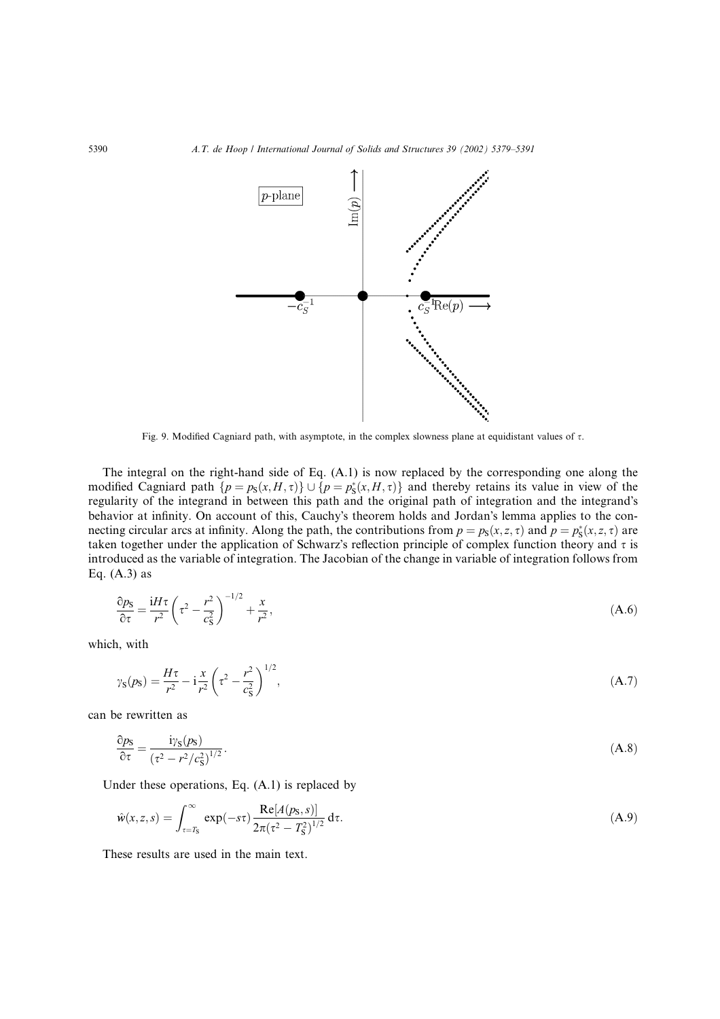

Fig. 9. Modified Cagniard path, with asymptote, in the complex slowness plane at equidistant values of  $\tau$ .

The integral on the right-hand side of Eq. (A.1) is now replaced by the corresponding one along the modified Cagniard path  $\{p = p_s(x, H, \tau)\} \cup \{p = p_s^*(x, H, \tau)\}\$  and thereby retains its value in view of the regularity of the integrand in between this path and the original path of integration and the integrand's behavior at infinity. On account of this, Cauchy's theorem holds and Jordan's lemma applies to the connecting circular arcs at infinity. Along the path, the contributions from  $p = p_s(x, z, \tau)$  and  $p = p_s^*(x, z, \tau)$  are taken together under the application of Schwarz's reflection principle of complex function theory and  $\tau$  is introduced as the variable of integration. The Jacobian of the change in variable of integration follows from Eq.  $(A.3)$  as

$$
\frac{\partial p_{\rm S}}{\partial \tau} = \frac{\mathrm{i}H\tau}{r^2} \left(\tau^2 - \frac{r^2}{c_{\rm S}^2}\right)^{-1/2} + \frac{x}{r^2},\tag{A.6}
$$

which, with

$$
\gamma_{\rm S}(p_{\rm S}) = \frac{H\tau}{r^2} - i\frac{x}{r^2} \left(\tau^2 - \frac{r^2}{c_{\rm S}^2}\right)^{1/2},\tag{A.7}
$$

can be rewritten as

$$
\frac{\partial p_{\rm S}}{\partial \tau} = \frac{\mathrm{i}\gamma_{\rm S}(p_{\rm S})}{\left(\tau^2 - r^2/c_{\rm S}^2\right)^{1/2}}.\tag{A.8}
$$

Under these operations, Eq. (A.1) is replaced by

$$
\hat{w}(x, z, s) = \int_{\tau = T_S}^{\infty} \exp(-s\tau) \frac{\text{Re}[A(p_S, s)]}{2\pi(\tau^2 - T_S^2)^{1/2}} d\tau.
$$
\n(A.9)

These results are used in the main text.